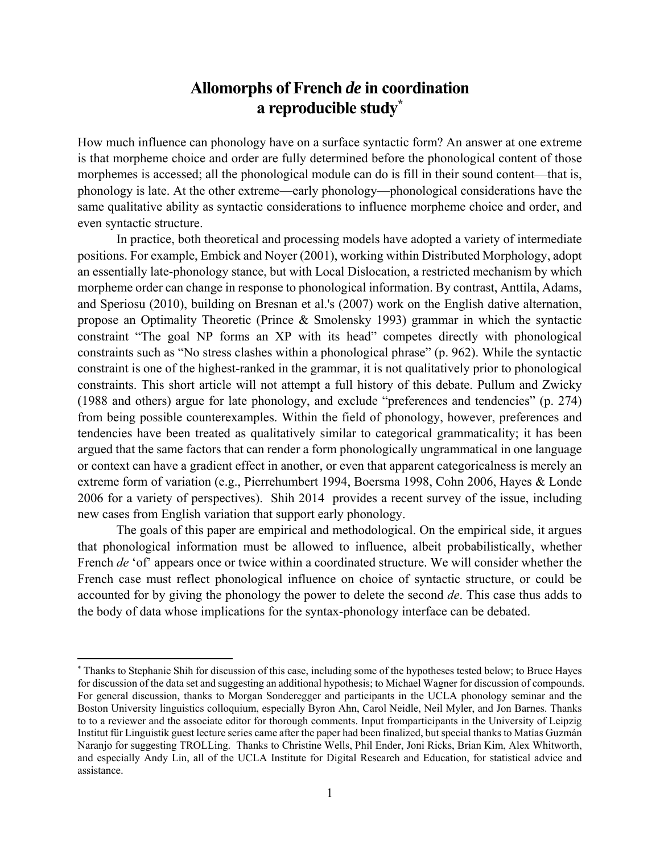# **Allomorphs of French** *de* **in coordination a reproducible study\***

How much influence can phonology have on a surface syntactic form? An answer at one extreme is that morpheme choice and order are fully determined before the phonological content of those morphemes is accessed; all the phonological module can do is fill in their sound content—that is, phonology is late. At the other extreme—early phonology—phonological considerations have the same qualitative ability as syntactic considerations to influence morpheme choice and order, and even syntactic structure.

In practice, both theoretical and processing models have adopted a variety of intermediate positions. For example, Embick and Noyer (2001), working within Distributed Morphology, adopt an essentially late-phonology stance, but with Local Dislocation, a restricted mechanism by which morpheme order can change in response to phonological information. By contrast, Anttila, Adams, and Speriosu (2010), building on Bresnan et al.'s (2007) work on the English dative alternation, propose an Optimality Theoretic (Prince & Smolensky 1993) grammar in which the syntactic constraint "The goal NP forms an XP with its head" competes directly with phonological constraints such as "No stress clashes within a phonological phrase" (p. 962). While the syntactic constraint is one of the highest-ranked in the grammar, it is not qualitatively prior to phonological constraints. This short article will not attempt a full history of this debate. Pullum and Zwicky (1988 and others) argue for late phonology, and exclude "preferences and tendencies" (p. 274) from being possible counterexamples. Within the field of phonology, however, preferences and tendencies have been treated as qualitatively similar to categorical grammaticality; it has been argued that the same factors that can render a form phonologically ungrammatical in one language or context can have a gradient effect in another, or even that apparent categoricalness is merely an extreme form of variation (e.g., Pierrehumbert 1994, Boersma 1998, Cohn 2006, Hayes & Londe 2006 for a variety of perspectives). Shih 2014 provides a recent survey of the issue, including new cases from English variation that support early phonology.

The goals of this paper are empirical and methodological. On the empirical side, it argues that phonological information must be allowed to influence, albeit probabilistically, whether French *de* 'of' appears once or twice within a coordinated structure. We will consider whether the French case must reflect phonological influence on choice of syntactic structure, or could be accounted for by giving the phonology the power to delete the second *de*. This case thus adds to the body of data whose implications for the syntax-phonology interface can be debated.

 $\overline{a}$ 

<sup>\*</sup> Thanks to Stephanie Shih for discussion of this case, including some of the hypotheses tested below; to Bruce Hayes for discussion of the data set and suggesting an additional hypothesis; to Michael Wagner for discussion of compounds. For general discussion, thanks to Morgan Sonderegger and participants in the UCLA phonology seminar and the Boston University linguistics colloquium, especially Byron Ahn, Carol Neidle, Neil Myler, and Jon Barnes. Thanks to to a reviewer and the associate editor for thorough comments. Input fromparticipants in the University of Leipzig Institut für Linguistik guest lecture series came after the paper had been finalized, but special thanks to Matías Guzmán Naranjo for suggesting TROLLing. Thanks to Christine Wells, Phil Ender, Joni Ricks, Brian Kim, Alex Whitworth, and especially Andy Lin, all of the UCLA Institute for Digital Research and Education, for statistical advice and assistance.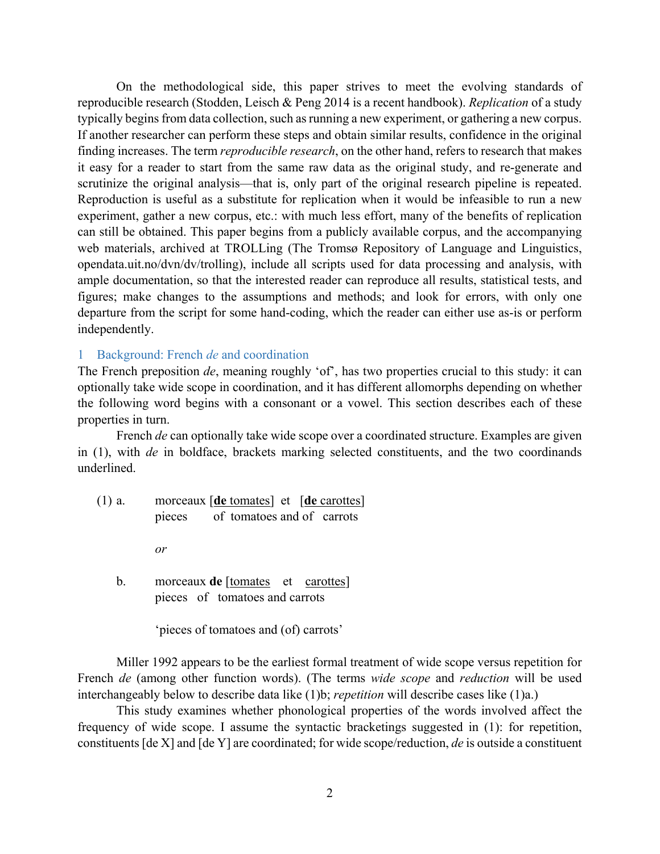On the methodological side, this paper strives to meet the evolving standards of reproducible research (Stodden, Leisch & Peng 2014 is a recent handbook). *Replication* of a study typically begins from data collection, such as running a new experiment, or gathering a new corpus. If another researcher can perform these steps and obtain similar results, confidence in the original finding increases. The term *reproducible research*, on the other hand, refers to research that makes it easy for a reader to start from the same raw data as the original study, and re-generate and scrutinize the original analysis—that is, only part of the original research pipeline is repeated. Reproduction is useful as a substitute for replication when it would be infeasible to run a new experiment, gather a new corpus, etc.: with much less effort, many of the benefits of replication can still be obtained. This paper begins from a publicly available corpus, and the accompanying web materials, archived at TROLLing (The Tromsø Repository of Language and Linguistics, opendata.uit.no/dvn/dv/trolling), include all scripts used for data processing and analysis, with ample documentation, so that the interested reader can reproduce all results, statistical tests, and figures; make changes to the assumptions and methods; and look for errors, with only one departure from the script for some hand-coding, which the reader can either use as-is or perform independently.

## 1 Background: French *de* and coordination

The French preposition *de*, meaning roughly 'of', has two properties crucial to this study: it can optionally take wide scope in coordination, and it has different allomorphs depending on whether the following word begins with a consonant or a vowel. This section describes each of these properties in turn.

 French *de* can optionally take wide scope over a coordinated structure. Examples are given in (1), with *de* in boldface, brackets marking selected constituents, and the two coordinands underlined.

(1) a. morceaux [**de** tomates] et [**de** carottes] pieces of tomatoes and of carrots

*or*

b. morceaux **de** [tomates et carottes] pieces of tomatoes and carrots

'pieces of tomatoes and (of) carrots'

 Miller 1992 appears to be the earliest formal treatment of wide scope versus repetition for French *de* (among other function words). (The terms *wide scope* and *reduction* will be used interchangeably below to describe data like (1)b; *repetition* will describe cases like (1)a.)

This study examines whether phonological properties of the words involved affect the frequency of wide scope. I assume the syntactic bracketings suggested in (1): for repetition, constituents [de X] and [de Y] are coordinated; for wide scope/reduction, *de* is outside a constituent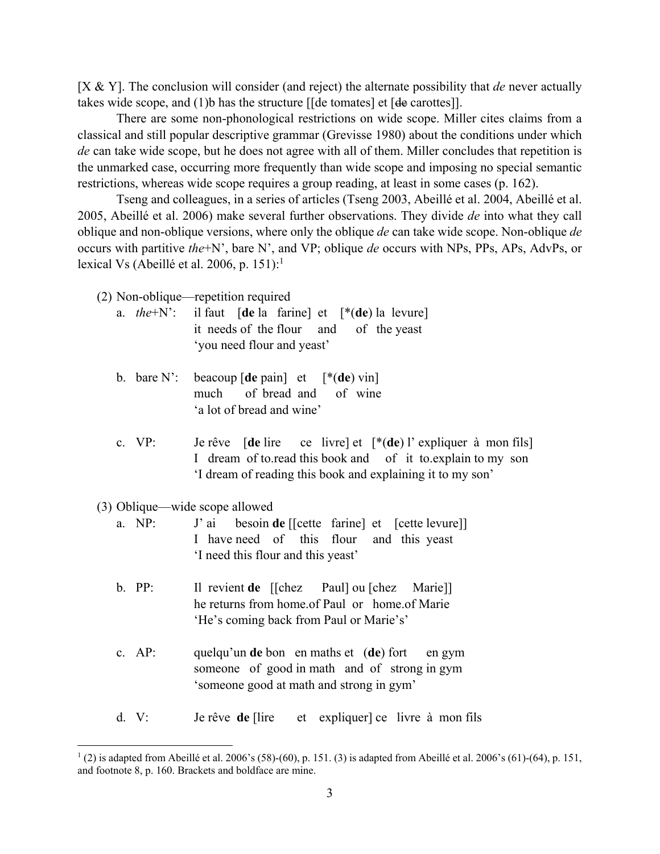[X & Y]. The conclusion will consider (and reject) the alternate possibility that *de* never actually takes wide scope, and  $(1)$ b has the structure [[de tomates] et [<del>de</del> carottes]].

There are some non-phonological restrictions on wide scope. Miller cites claims from a classical and still popular descriptive grammar (Grevisse 1980) about the conditions under which *de* can take wide scope, but he does not agree with all of them. Miller concludes that repetition is the unmarked case, occurring more frequently than wide scope and imposing no special semantic restrictions, whereas wide scope requires a group reading, at least in some cases (p. 162).

Tseng and colleagues, in a series of articles (Tseng 2003, Abeillé et al. 2004, Abeillé et al. 2005, Abeillé et al. 2006) make several further observations. They divide *de* into what they call oblique and non-oblique versions, where only the oblique *de* can take wide scope. Non-oblique *de* occurs with partitive *the*+N', bare N', and VP; oblique *de* occurs with NPs, PPs, APs, AdvPs, or lexical Vs (Abeillé et al. 2006, p. 151):<sup>1</sup>

(2) Non-oblique—repetition required

- a. *the*+N': il faut [**de** la farine] et [\*(**de**) la levure] it needs of the flour and of the yeast 'you need flour and yeast'
- b. bare N': beacoup [**de** pain] et [\*(**de**) vin] much of bread and of wine 'a lot of bread and wine'
- c. VP: Je rêve [**de** lire ce livre] et [\*(**de**) l' expliquer à mon fils] I dream of to.read this book and of it to.explain to my son 'I dream of reading this book and explaining it to my son'

## (3) Oblique—wide scope allowed

 $\overline{a}$ 

| a. NP:                             |  |  |  |  |  |                                          |  |  | J' ai besoin de [[cette farine] et [cette levure]] |
|------------------------------------|--|--|--|--|--|------------------------------------------|--|--|----------------------------------------------------|
|                                    |  |  |  |  |  | I have need of this flour and this yeast |  |  |                                                    |
| 'I need this flour and this yeast' |  |  |  |  |  |                                          |  |  |                                                    |

- b. PP: Il revient **de** [[chez Paul] ou [chez Marie]] he returns from home.of Paul or home.of Marie 'He's coming back from Paul or Marie's'
- c. AP: quelqu'un **de** bon en maths et (**de**) fort en gym someone of good in math and of strong in gym 'someone good at math and strong in gym'
- d. V: Je rêve **de** [lire et expliquer] ce livre à mon fils

 $1(2)$  is adapted from Abeillé et al. 2006's (58)-(60), p. 151. (3) is adapted from Abeillé et al. 2006's (61)-(64), p. 151, and footnote 8, p. 160. Brackets and boldface are mine.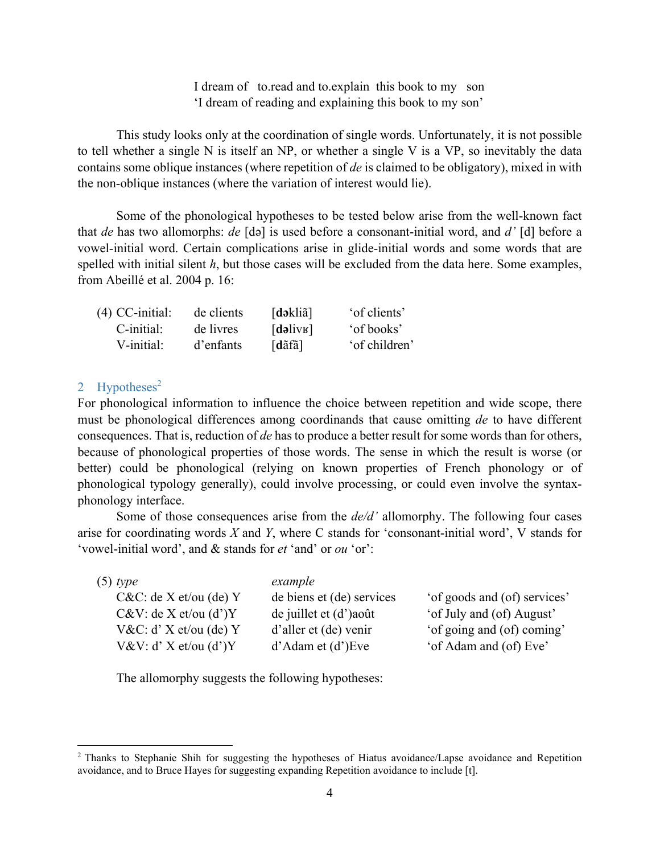I dream of to.read and to.explain this book to my son 'I dream of reading and explaining this book to my son'

This study looks only at the coordination of single words. Unfortunately, it is not possible to tell whether a single N is itself an NP, or whether a single V is a VP, so inevitably the data contains some oblique instances (where repetition of *de* is claimed to be obligatory), mixed in with the non-oblique instances (where the variation of interest would lie).

Some of the phonological hypotheses to be tested below arise from the well-known fact that *de* has two allomorphs: *de* [dә] is used before a consonant-initial word, and *d'* [d] before a vowel-initial word. Certain complications arise in glide-initial words and some words that are spelled with initial silent  $h$ , but those cases will be excluded from the data here. Some examples, from Abeillé et al. 2004 p. 16:

| (4) CC-initial: | de clients | [dəkliã]                                                                           | 'of clients'  |
|-----------------|------------|------------------------------------------------------------------------------------|---------------|
| C-initial:      | de livres  | $\lceil \mathbf{d} \mathbf{d} \mathbf{l} \cdot \mathbf{d} \cdot \mathbf{d} \rceil$ | 'of books'    |
| V-initial:      | d'enfants  | $\lceil d\tilde{a}f\tilde{a}\rceil$                                                | 'of children' |

## 2  $Hypotheses<sup>2</sup>$

 $\overline{a}$ 

For phonological information to influence the choice between repetition and wide scope, there must be phonological differences among coordinands that cause omitting *de* to have different consequences. That is, reduction of *de* has to produce a better result for some words than for others, because of phonological properties of those words. The sense in which the result is worse (or better) could be phonological (relying on known properties of French phonology or of phonological typology generally), could involve processing, or could even involve the syntaxphonology interface.

Some of those consequences arise from the *de/d'* allomorphy. The following four cases arise for coordinating words *X* and *Y*, where C stands for 'consonant-initial word', V stands for 'vowel-initial word', and & stands for *et* 'and' or *ou* 'or':

| $(5)$ type                 | example                   |                              |
|----------------------------|---------------------------|------------------------------|
| $C&C$ : de X et/ou (de) Y  | de biens et (de) services | 'of goods and (of) services' |
| $C&V$ : de X et/ou (d')Y   | de juillet et (d')août    | 'of July and (of) August'    |
| $V & C: d' X$ et/ou (de) Y | d'aller et (de) venir     | 'of going and (of) coming'   |
| V&V: d'X et/ou (d')Y       | $d'$ Adam et $(d')$ Eve   | 'of Adam and (of) Eve'       |

The allomorphy suggests the following hypotheses:

<sup>&</sup>lt;sup>2</sup> Thanks to Stephanie Shih for suggesting the hypotheses of Hiatus avoidance/Lapse avoidance and Repetition avoidance, and to Bruce Hayes for suggesting expanding Repetition avoidance to include [t].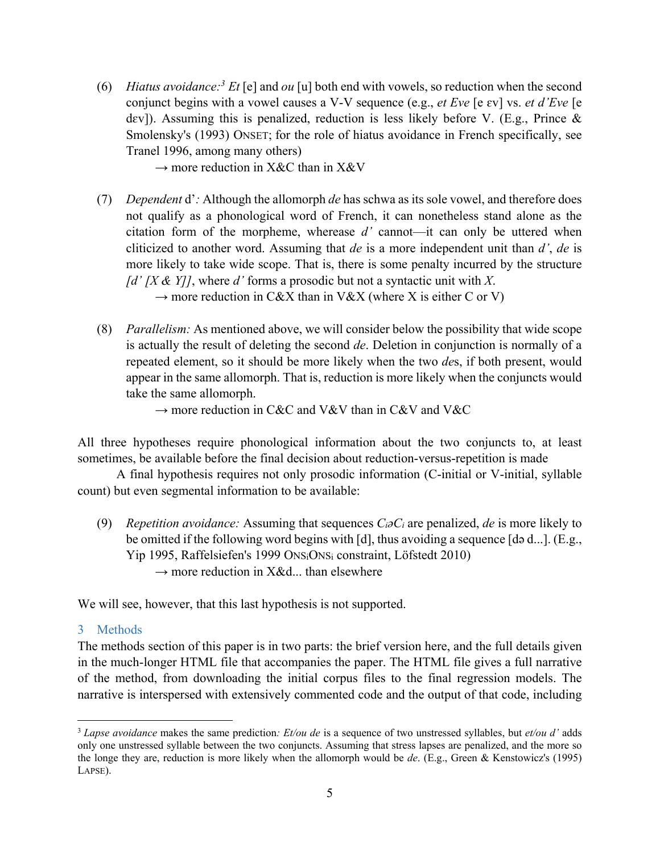- (6) *Hiatus avoidance*:<sup>3</sup> *Et* [e] and *ou* [u] both end with vowels, so reduction when the second conjunct begins with a vowel causes a V-V sequence (e.g., *et Eve* [e ɛv] vs. *et d'Eve* [e dɛv]). Assuming this is penalized, reduction is less likely before V. (E.g., Prince & Smolensky's (1993) ONSET; for the role of hiatus avoidance in French specifically, see Tranel 1996, among many others)
	- $\rightarrow$  more reduction in X&C than in X&V
- (7) *Dependent* d'*:* Although the allomorph *de* has schwa as its sole vowel, and therefore does not qualify as a phonological word of French, it can nonetheless stand alone as the citation form of the morpheme, wherease *d'* cannot—it can only be uttered when cliticized to another word. Assuming that *de* is a more independent unit than *d'*, *de* is more likely to take wide scope. That is, there is some penalty incurred by the structure *[d' [X & Y]]*, where *d'* forms a prosodic but not a syntactic unit with *X*.

 $\rightarrow$  more reduction in C&X than in V&X (where X is either C or V)

(8) *Parallelism:* As mentioned above, we will consider below the possibility that wide scope is actually the result of deleting the second *de*. Deletion in conjunction is normally of a repeated element, so it should be more likely when the two *de*s, if both present, would appear in the same allomorph. That is, reduction is more likely when the conjuncts would take the same allomorph.

 $\rightarrow$  more reduction in C&C and V&V than in C&V and V&C

All three hypotheses require phonological information about the two conjuncts to, at least sometimes, be available before the final decision about reduction-versus-repetition is made

 A final hypothesis requires not only prosodic information (C-initial or V-initial, syllable count) but even segmental information to be available:

(9) *Repetition avoidance:* Assuming that sequences *CiәCi* are penalized, *de* is more likely to be omitted if the following word begins with [d], thus avoiding a sequence [dә d...]. (E.g., Yip 1995, Raffelsiefen's 1999 ONSiONSi constraint, Löfstedt 2010)  $\rightarrow$  more reduction in X&d... than elsewhere

We will see, however, that this last hypothesis is not supported.

## 3 Methods

<u>.</u>

The methods section of this paper is in two parts: the brief version here, and the full details given in the much-longer HTML file that accompanies the paper. The HTML file gives a full narrative of the method, from downloading the initial corpus files to the final regression models. The narrative is interspersed with extensively commented code and the output of that code, including

<sup>3</sup> *Lapse avoidance* makes the same prediction*: Et/ou de* is a sequence of two unstressed syllables, but *et/ou d'* adds only one unstressed syllable between the two conjuncts. Assuming that stress lapses are penalized, and the more so the longe they are, reduction is more likely when the allomorph would be *de*. (E.g., Green & Kenstowicz's (1995) LAPSE).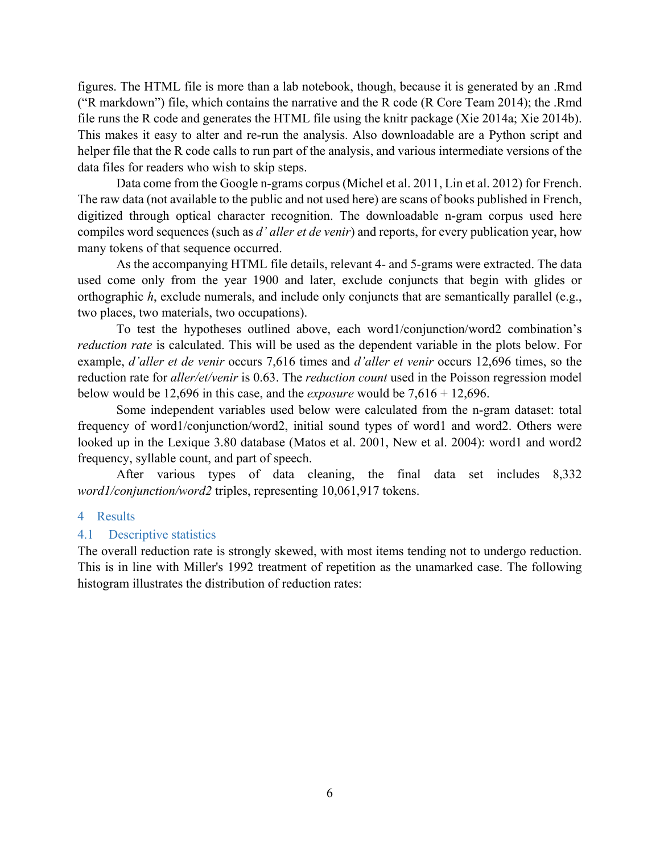figures. The HTML file is more than a lab notebook, though, because it is generated by an .Rmd ("R markdown") file, which contains the narrative and the R code (R Core Team 2014); the .Rmd file runs the R code and generates the HTML file using the knitr package (Xie 2014a; Xie 2014b). This makes it easy to alter and re-run the analysis. Also downloadable are a Python script and helper file that the R code calls to run part of the analysis, and various intermediate versions of the data files for readers who wish to skip steps.

 Data come from the Google n-grams corpus (Michel et al. 2011, Lin et al. 2012) for French. The raw data (not available to the public and not used here) are scans of books published in French, digitized through optical character recognition. The downloadable n-gram corpus used here compiles word sequences (such as *d' aller et de venir*) and reports, for every publication year, how many tokens of that sequence occurred.

 As the accompanying HTML file details, relevant 4- and 5-grams were extracted. The data used come only from the year 1900 and later, exclude conjuncts that begin with glides or orthographic *h*, exclude numerals, and include only conjuncts that are semantically parallel (e.g., two places, two materials, two occupations).

To test the hypotheses outlined above, each word1/conjunction/word2 combination's *reduction rate* is calculated. This will be used as the dependent variable in the plots below. For example, *d'aller et de venir* occurs 7,616 times and *d'aller et venir* occurs 12,696 times, so the reduction rate for *aller/et/venir* is 0.63. The *reduction count* used in the Poisson regression model below would be 12,696 in this case, and the *exposure* would be 7,616 + 12,696.

Some independent variables used below were calculated from the n-gram dataset: total frequency of word1/conjunction/word2, initial sound types of word1 and word2. Others were looked up in the Lexique 3.80 database (Matos et al. 2001, New et al. 2004): word1 and word2 frequency, syllable count, and part of speech.

After various types of data cleaning, the final data set includes 8,332 *word1/conjunction/word2* triples, representing 10,061,917 tokens.

#### 4 Results

#### 4.1 Descriptive statistics

The overall reduction rate is strongly skewed, with most items tending not to undergo reduction. This is in line with Miller's 1992 treatment of repetition as the unamarked case. The following histogram illustrates the distribution of reduction rates: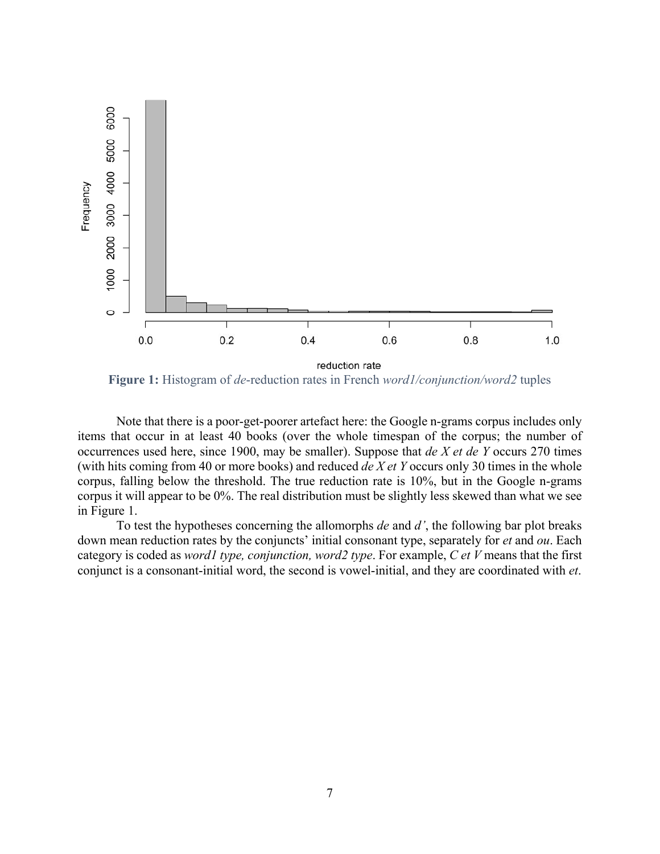

**Figure 1:** Histogram of *de*-reduction rates in French *word1/conjunction/word2* tuples

 Note that there is a poor-get-poorer artefact here: the Google n-grams corpus includes only items that occur in at least 40 books (over the whole timespan of the corpus; the number of occurrences used here, since 1900, may be smaller). Suppose that *de X et de Y* occurs 270 times (with hits coming from 40 or more books) and reduced *de X et Y* occurs only 30 times in the whole corpus, falling below the threshold. The true reduction rate is 10%, but in the Google n-grams corpus it will appear to be 0%. The real distribution must be slightly less skewed than what we see in Figure 1.

 To test the hypotheses concerning the allomorphs *de* and *d'*, the following bar plot breaks down mean reduction rates by the conjuncts' initial consonant type, separately for *et* and *ou*. Each category is coded as *word1 type, conjunction, word2 type*. For example, *C et V* means that the first conjunct is a consonant-initial word, the second is vowel-initial, and they are coordinated with *et*.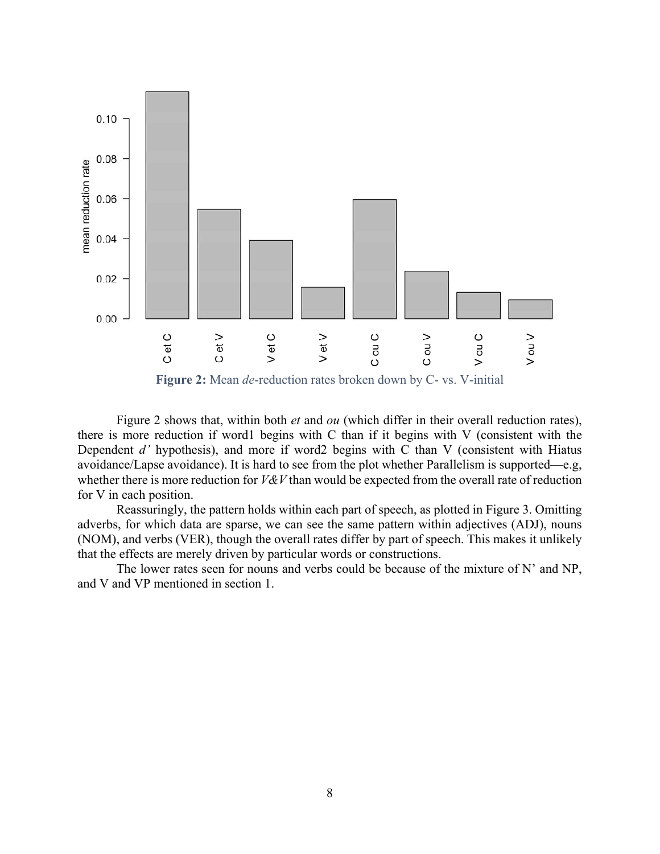

**Figure 2:** Mean *de*-reduction rates broken down by C- vs. V-initial

 Figure 2 shows that, within both *et* and *ou* (which differ in their overall reduction rates), there is more reduction if word1 begins with C than if it begins with V (consistent with the Dependent *d'* hypothesis), and more if word2 begins with C than V (consistent with Hiatus avoidance/Lapse avoidance). It is hard to see from the plot whether Parallelism is supported—e.g, whether there is more reduction for *V&V* than would be expected from the overall rate of reduction for V in each position.

 Reassuringly, the pattern holds within each part of speech, as plotted in Figure 3. Omitting adverbs, for which data are sparse, we can see the same pattern within adjectives (ADJ), nouns (NOM), and verbs (VER), though the overall rates differ by part of speech. This makes it unlikely that the effects are merely driven by particular words or constructions.

The lower rates seen for nouns and verbs could be because of the mixture of N' and NP, and V and VP mentioned in section 1.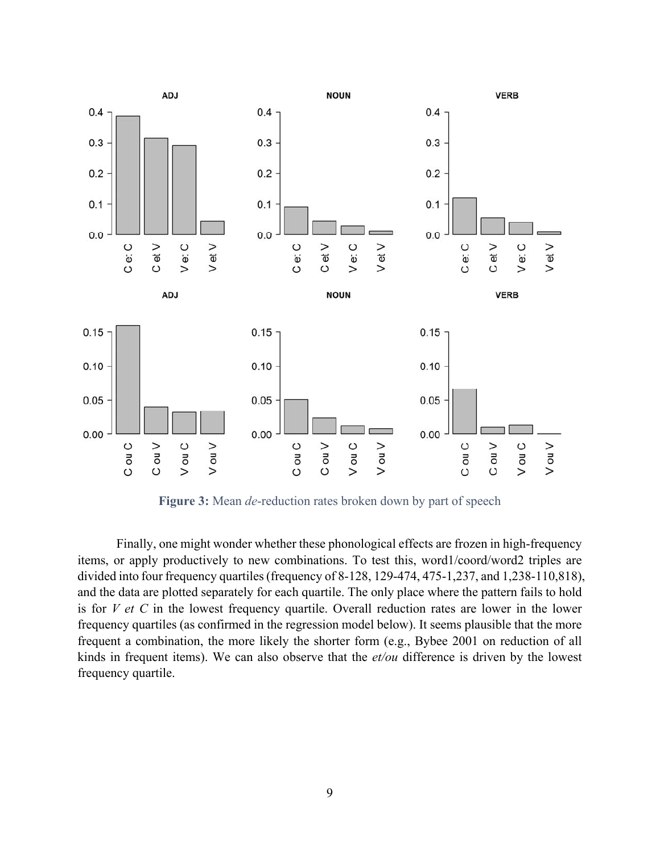

**Figure 3:** Mean *de*-reduction rates broken down by part of speech

Finally, one might wonder whether these phonological effects are frozen in high-frequency items, or apply productively to new combinations. To test this, word1/coord/word2 triples are divided into four frequency quartiles (frequency of 8-128, 129-474, 475-1,237, and 1,238-110,818), and the data are plotted separately for each quartile. The only place where the pattern fails to hold is for *V et C* in the lowest frequency quartile. Overall reduction rates are lower in the lower frequency quartiles (as confirmed in the regression model below). It seems plausible that the more frequent a combination, the more likely the shorter form (e.g., Bybee 2001 on reduction of all kinds in frequent items). We can also observe that the *et/ou* difference is driven by the lowest frequency quartile.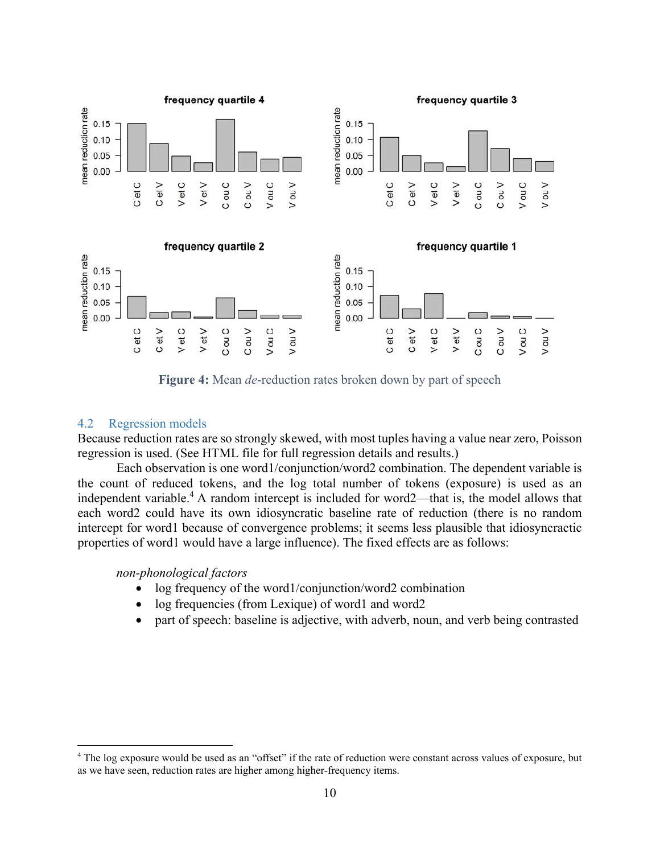

**Figure 4:** Mean *de*-reduction rates broken down by part of speech

## 4.2 Regression models

 $\overline{a}$ 

Because reduction rates are so strongly skewed, with most tuples having a value near zero, Poisson regression is used. (See HTML file for full regression details and results.)

Each observation is one word1/conjunction/word2 combination. The dependent variable is the count of reduced tokens, and the log total number of tokens (exposure) is used as an independent variable.<sup>4</sup> A random intercept is included for word2—that is, the model allows that each word2 could have its own idiosyncratic baseline rate of reduction (there is no random intercept for word1 because of convergence problems; it seems less plausible that idiosyncractic properties of word1 would have a large influence). The fixed effects are as follows:

*non-phonological factors* 

- log frequency of the word1/conjunction/word2 combination
- log frequencies (from Lexique) of word1 and word2
- part of speech: baseline is adjective, with adverb, noun, and verb being contrasted

<sup>4</sup> The log exposure would be used as an "offset" if the rate of reduction were constant across values of exposure, but as we have seen, reduction rates are higher among higher-frequency items.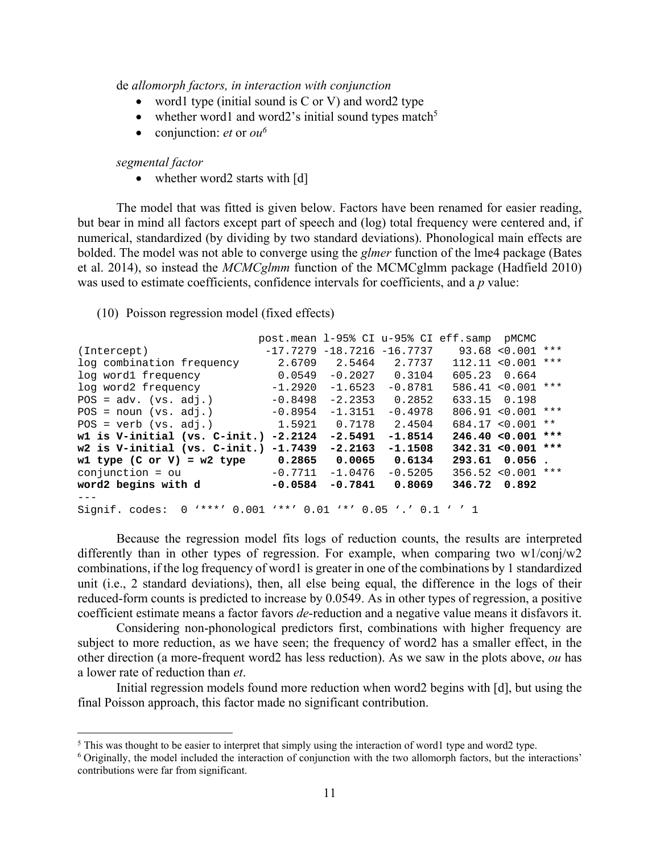de *allomorph factors, in interaction with conjunction* 

- word1 type (initial sound is  $C$  or  $V$ ) and word2 type
- whether word1 and word2's initial sound types match<sup>5</sup>
- conjunction: *et* or *ou6*

#### *segmental factor*

 $\overline{a}$ 

• whether word2 starts with [d]

The model that was fitted is given below. Factors have been renamed for easier reading, but bear in mind all factors except part of speech and (log) total frequency were centered and, if numerical, standardized (by dividing by two standard deviations). Phonological main effects are bolded. The model was not able to converge using the *glmer* function of the lme4 package (Bates et al. 2014), so instead the *MCMCglmm* function of the MCMCglmm package (Hadfield 2010) was used to estimate coefficients, confidence intervals for coefficients, and a *p* value:

## (10) Poisson regression model (fixed effects)

```
 post.mean l-95% CI u-95% CI eff.samp pMCMC 
(Intercept) -17.7279 -18.7216 -16.7737 93.68 <0.001 *** 
log combination frequency 2.6709 2.5464 2.7737 112.11 <0.001 *** 
log word1 frequency 0.0549 -0.2027 0.3104 605.23 0.664 
log word2 frequency -1.2920 -1.6523 -0.8781 586.41 <0.001 *** 
POS = adv. (vs. adj.) -0.8498 -2.2353 0.2852 633.15 0.198 
POS = noun (vs. adj.) -0.8954 -1.3151 -0.4978 806.91 <0.001 ***
POS = verb (vs. adj.) 1.5921 0.7178 2.4504 684.17 <0.001 ** 
w1 is V-initial (vs. C-init.) -2.2124 -2.5491 -1.8514 246.40 <0.001 *** 
w2 is V-initial (vs. C-init.) -1.7439 -2.2163 -1.1508<br>w1 type (C or V) = w2 type 0.2865 0.0065 0.6134
w1 type (C or V) = w2 type 0.2865 0.0065 0.6134 293.61 0.056 .<br>conjunction = ou -0.7711 -1.0476 -0.5205 356.52 <0.001 *
conjunction = ou -0.7711 -1.0476 -0.5205 356.52 <0.001 ***
word2 begins with d -0.0584 -0.7841 0.8069 346.72 0.892 
---Signif. codes: 0 '***' 0.001 '**' 0.01 '*' 0.05 '.' 0.1 ' ' 1
```
Because the regression model fits logs of reduction counts, the results are interpreted differently than in other types of regression. For example, when comparing two w1/conj/w2 combinations, if the log frequency of word1 is greater in one of the combinations by 1 standardized unit (i.e., 2 standard deviations), then, all else being equal, the difference in the logs of their reduced-form counts is predicted to increase by 0.0549. As in other types of regression, a positive coefficient estimate means a factor favors *de*-reduction and a negative value means it disfavors it.

Considering non-phonological predictors first, combinations with higher frequency are subject to more reduction, as we have seen; the frequency of word2 has a smaller effect, in the other direction (a more-frequent word2 has less reduction). As we saw in the plots above, *ou* has a lower rate of reduction than *et*.

Initial regression models found more reduction when word2 begins with [d], but using the final Poisson approach, this factor made no significant contribution.

 $<sup>5</sup>$  This was thought to be easier to interpret that simply using the interaction of word1 type and word2 type.</sup>

<sup>6</sup> Originally, the model included the interaction of conjunction with the two allomorph factors, but the interactions' contributions were far from significant.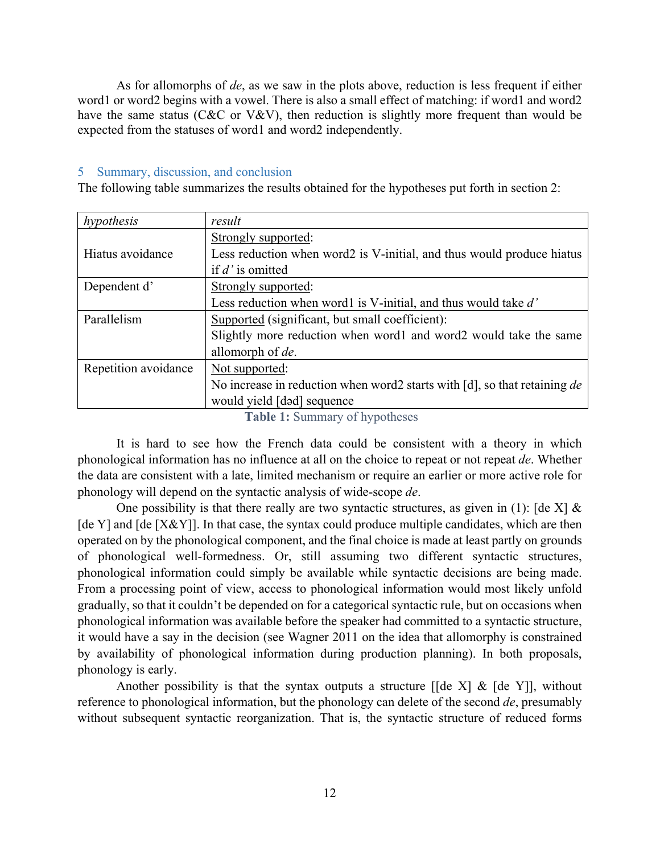As for allomorphs of *de*, as we saw in the plots above, reduction is less frequent if either word1 or word2 begins with a vowel. There is also a small effect of matching: if word1 and word2 have the same status (C&C or V&V), then reduction is slightly more frequent than would be expected from the statuses of word1 and word2 independently.

#### 5 Summary, discussion, and conclusion

The following table summarizes the results obtained for the hypotheses put forth in section 2:

| hypothesis           | result                                                                       |
|----------------------|------------------------------------------------------------------------------|
|                      | Strongly supported:                                                          |
| Hiatus avoidance     | Less reduction when word2 is V-initial, and thus would produce hiatus        |
|                      | if $d'$ is omitted                                                           |
| Dependent d'         | Strongly supported:                                                          |
|                      | Less reduction when word1 is V-initial, and thus would take d'               |
| Parallelism          | Supported (significant, but small coefficient):                              |
|                      | Slightly more reduction when word1 and word2 would take the same             |
|                      | allomorph of de.                                                             |
| Repetition avoidance | Not supported:                                                               |
|                      | No increase in reduction when word2 starts with $[d]$ , so that retaining de |
|                      | would yield [dad] sequence                                                   |

 **Table 1:** Summary of hypotheses

 It is hard to see how the French data could be consistent with a theory in which phonological information has no influence at all on the choice to repeat or not repeat *de*. Whether the data are consistent with a late, limited mechanism or require an earlier or more active role for phonology will depend on the syntactic analysis of wide-scope *de*.

One possibility is that there really are two syntactic structures, as given in (1): [de X]  $\&$ [de Y] and [de [X&Y]]. In that case, the syntax could produce multiple candidates, which are then operated on by the phonological component, and the final choice is made at least partly on grounds of phonological well-formedness. Or, still assuming two different syntactic structures, phonological information could simply be available while syntactic decisions are being made. From a processing point of view, access to phonological information would most likely unfold gradually, so that it couldn't be depended on for a categorical syntactic rule, but on occasions when phonological information was available before the speaker had committed to a syntactic structure, it would have a say in the decision (see Wagner 2011 on the idea that allomorphy is constrained by availability of phonological information during production planning). In both proposals, phonology is early.

Another possibility is that the syntax outputs a structure  $\left[\begin{bmatrix} de X \end{bmatrix} \& \begin{bmatrix} de Y \end{bmatrix}\right]$ , without reference to phonological information, but the phonology can delete of the second *de*, presumably without subsequent syntactic reorganization. That is, the syntactic structure of reduced forms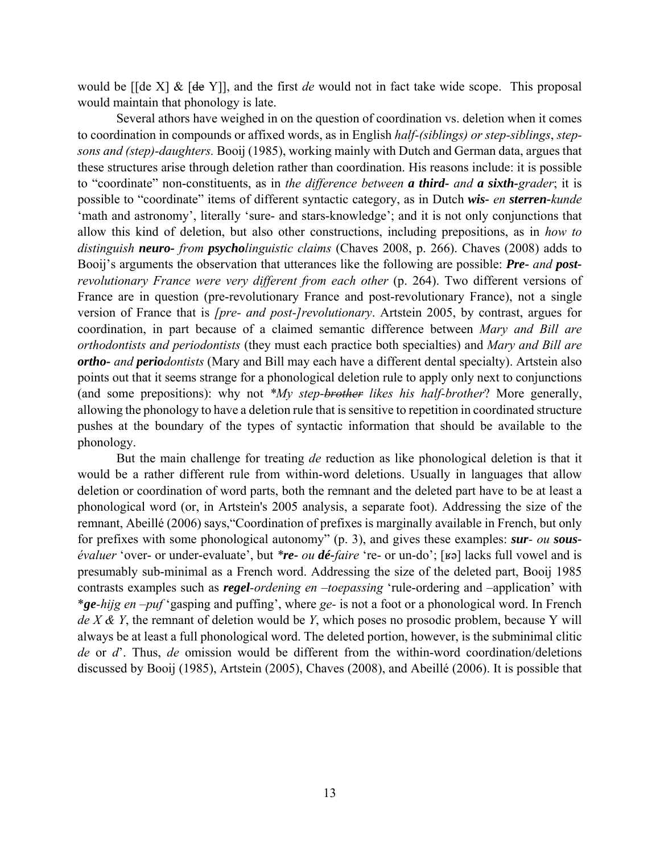would be [[de X] & [de Y]], and the first *de* would not in fact take wide scope. This proposal would maintain that phonology is late.

Several athors have weighed in on the question of coordination vs. deletion when it comes to coordination in compounds or affixed words, as in English *half-(siblings) or step-siblings*, *stepsons and (step)-daughters.* Booij (1985), working mainly with Dutch and German data, argues that these structures arise through deletion rather than coordination. His reasons include: it is possible to "coordinate" non-constituents, as in *the difference between a third- and a sixth-grader*; it is possible to "coordinate" items of different syntactic category, as in Dutch *wis- en sterren-kunde* 'math and astronomy', literally 'sure- and stars-knowledge'; and it is not only conjunctions that allow this kind of deletion, but also other constructions, including prepositions, as in *how to distinguish neuro- from psycholinguistic claims* (Chaves 2008, p. 266). Chaves (2008) adds to Booij's arguments the observation that utterances like the following are possible: *Pre- and postrevolutionary France were very different from each other* (p. 264). Two different versions of France are in question (pre-revolutionary France and post-revolutionary France), not a single version of France that is *[pre- and post-]revolutionary*. Artstein 2005, by contrast, argues for coordination, in part because of a claimed semantic difference between *Mary and Bill are orthodontists and periodontists* (they must each practice both specialties) and *Mary and Bill are ortho- and periodontists* (Mary and Bill may each have a different dental specialty). Artstein also points out that it seems strange for a phonological deletion rule to apply only next to conjunctions (and some prepositions): why not *\*My step-brother likes his half-brother*? More generally, allowing the phonology to have a deletion rule that is sensitive to repetition in coordinated structure pushes at the boundary of the types of syntactic information that should be available to the phonology.

 But the main challenge for treating *de* reduction as like phonological deletion is that it would be a rather different rule from within-word deletions. Usually in languages that allow deletion or coordination of word parts, both the remnant and the deleted part have to be at least a phonological word (or, in Artstein's 2005 analysis, a separate foot). Addressing the size of the remnant, Abeillé (2006) says,"Coordination of prefixes is marginally available in French, but only for prefixes with some phonological autonomy" (p. 3), and gives these examples: *sur- ou sousévaluer* 'over- or under-evaluate', but *\*re- ou dé-faire* 're- or un-do'; [ʁә] lacks full vowel and is presumably sub-minimal as a French word. Addressing the size of the deleted part, Booij 1985 contrasts examples such as *regel-ordening en –toepassing* 'rule-ordering and –application' with \**ge-hijg en –puf* 'gasping and puffing', where *ge-* is not a foot or a phonological word. In French *de X & Y*, the remnant of deletion would be *Y*, which poses no prosodic problem, because Y will always be at least a full phonological word. The deleted portion, however, is the subminimal clitic *de* or *d*'. Thus, *de* omission would be different from the within-word coordination/deletions discussed by Booij (1985), Artstein (2005), Chaves (2008), and Abeillé (2006). It is possible that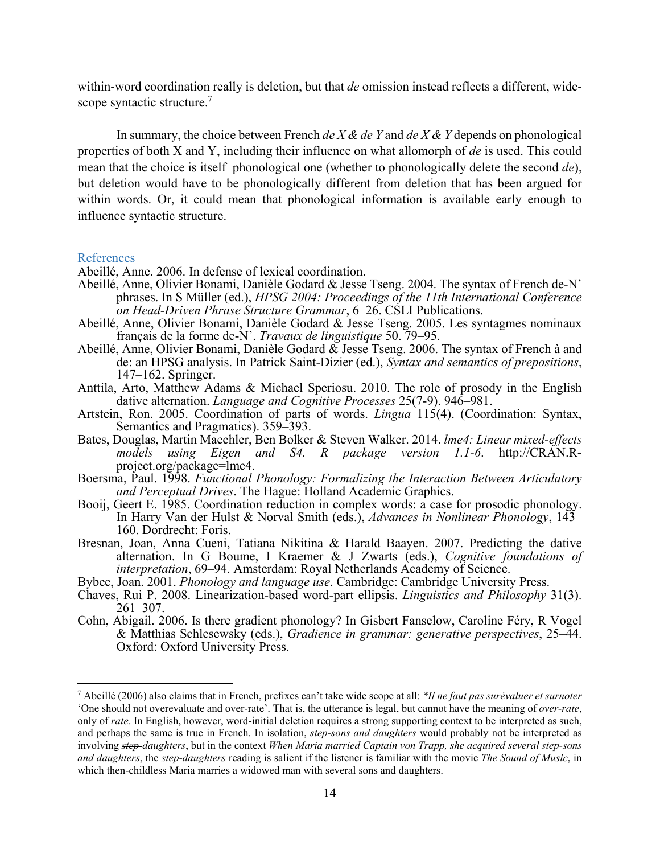within-word coordination really is deletion, but that *de* omission instead reflects a different, widescope syntactic structure. $7$ 

 In summary, the choice between French *de X & de Y* and *de X & Y* depends on phonological properties of both X and Y, including their influence on what allomorph of *de* is used. This could mean that the choice is itself phonological one (whether to phonologically delete the second *de*), but deletion would have to be phonologically different from deletion that has been argued for within words. Or, it could mean that phonological information is available early enough to influence syntactic structure.

#### References

<u>.</u>

Abeillé, Anne. 2006. In defense of lexical coordination.

- Abeillé, Anne, Olivier Bonami, Danièle Godard & Jesse Tseng. 2004. The syntax of French de-N' phrases. In S Müller (ed.), *HPSG 2004: Proceedings of the 11th International Conference on Head-Driven Phrase Structure Grammar*, 6–26. CSLI Publications.
- Abeillé, Anne, Olivier Bonami, Danièle Godard & Jesse Tseng. 2005. Les syntagmes nominaux français de la forme de-N'. *Travaux de linguistique* 50. 79–95.
- Abeillé, Anne, Olivier Bonami, Danièle Godard & Jesse Tseng. 2006. The syntax of French à and de: an HPSG analysis. In Patrick Saint-Dizier (ed.), *Syntax and semantics of prepositions*, 147–162. Springer.
- Anttila, Arto, Matthew Adams & Michael Speriosu. 2010. The role of prosody in the English dative alternation. *Language and Cognitive Processes* 25(7-9). 946–981.
- Artstein, Ron. 2005. Coordination of parts of words. *Lingua* 115(4). (Coordination: Syntax, Semantics and Pragmatics). 359–393.
- Bates, Douglas, Martin Maechler, Ben Bolker & Steven Walker. 2014. *lme4: Linear mixed-effects models using Eigen and S4. R package version 1.1-6*. http://CRAN.Rproject.org/package=lme4.
- Boersma, Paul. 1998. *Functional Phonology: Formalizing the Interaction Between Articulatory and Perceptual Drives*. The Hague: Holland Academic Graphics.
- Booij, Geert E. 1985. Coordination reduction in complex words: a case for prosodic phonology. In Harry Van der Hulst & Norval Smith (eds.), *Advances in Nonlinear Phonology*, 143– 160. Dordrecht: Foris.
- Bresnan, Joan, Anna Cueni, Tatiana Nikitina & Harald Baayen. 2007. Predicting the dative alternation. In G Boume, I Kraemer & J Zwarts (eds.), *Cognitive foundations of interpretation*, 69–94. Amsterdam: Royal Netherlands Academy of Science.
- Bybee, Joan. 2001. *Phonology and language use*. Cambridge: Cambridge University Press.
- Chaves, Rui P. 2008. Linearization-based word-part ellipsis. *Linguistics and Philosophy* 31(3). 261–307.
- Cohn, Abigail. 2006. Is there gradient phonology? In Gisbert Fanselow, Caroline Féry, R Vogel & Matthias Schlesewsky (eds.), *Gradience in grammar: generative perspectives*, 25–44. Oxford: Oxford University Press.

<sup>7</sup> Abeillé (2006) also claims that in French, prefixes can't take wide scope at all: *\*Il ne faut pas surévaluer et surnoter* 'One should not overevaluate and over-rate'. That is, the utterance is legal, but cannot have the meaning of *over-rate*, only of *rate*. In English, however, word-initial deletion requires a strong supporting context to be interpreted as such, and perhaps the same is true in French. In isolation, *step-sons and daughters* would probably not be interpreted as involving *step-daughters*, but in the context *When Maria married Captain von Trapp, she acquired several step-sons and daughters*, the *step-daughters* reading is salient if the listener is familiar with the movie *The Sound of Music*, in which then-childless Maria marries a widowed man with several sons and daughters.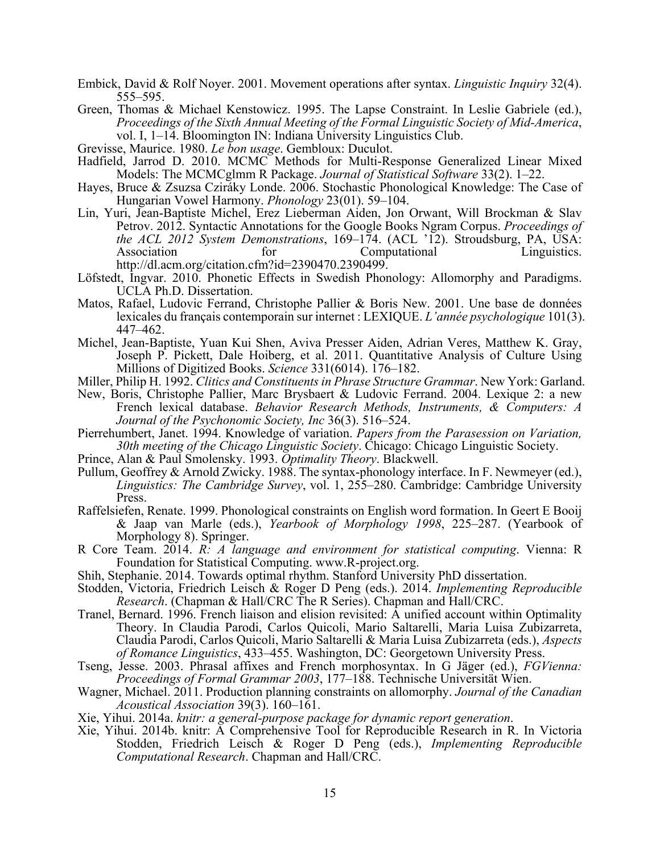Embick, David & Rolf Noyer. 2001. Movement operations after syntax. *Linguistic Inquiry* 32(4). 555–595.

Green, Thomas & Michael Kenstowicz. 1995. The Lapse Constraint. In Leslie Gabriele (ed.), *Proceedings of the Sixth Annual Meeting of the Formal Linguistic Society of Mid-America*, vol. I, 1–14. Bloomington IN: Indiana University Linguistics Club.

- Grevisse, Maurice. 1980. *Le bon usage*. Gembloux: Duculot.
- Hadfield, Jarrod D. 2010. MCMC Methods for Multi-Response Generalized Linear Mixed Models: The MCMCglmm R Package. *Journal of Statistical Software* 33(2). 1–22.
- Hayes, Bruce & Zsuzsa Cziráky Londe. 2006. Stochastic Phonological Knowledge: The Case of Hungarian Vowel Harmony. *Phonology* 23(01). 59–104.
- Lin, Yuri, Jean-Baptiste Michel, Erez Lieberman Aiden, Jon Orwant, Will Brockman & Slav Petrov. 2012. Syntactic Annotations for the Google Books Ngram Corpus. *Proceedings of the ACL 2012 System Demonstrations*, 169–174. (ACL '12). Stroudsburg, PA, USA: Association for Computational Linguistics. http://dl.acm.org/citation.cfm?id=2390470.2390499.
- Löfstedt, Ingvar. 2010. Phonetic Effects in Swedish Phonology: Allomorphy and Paradigms. UCLA Ph.D. Dissertation.
- Matos, Rafael, Ludovic Ferrand, Christophe Pallier & Boris New. 2001. Une base de données lexicales du français contemporain sur internet : LEXIQUE. *L'année psychologique* 101(3). 447–462.
- Michel, Jean-Baptiste, Yuan Kui Shen, Aviva Presser Aiden, Adrian Veres, Matthew K. Gray, Joseph P. Pickett, Dale Hoiberg, et al. 2011. Quantitative Analysis of Culture Using Millions of Digitized Books. *Science* 331(6014). 176–182.
- Miller, Philip H. 1992. *Clitics and Constituents in Phrase Structure Grammar*. New York: Garland.
- New, Boris, Christophe Pallier, Marc Brysbaert & Ludovic Ferrand. 2004. Lexique 2: a new French lexical database. *Behavior Research Methods, Instruments, & Computers: A Journal of the Psychonomic Society, Inc* 36(3). 516–524.
- Pierrehumbert, Janet. 1994. Knowledge of variation. *Papers from the Parasession on Variation, 30th meeting of the Chicago Linguistic Society*. Chicago: Chicago Linguistic Society.
- Prince, Alan & Paul Smolensky. 1993. *Optimality Theory*. Blackwell.
- Pullum, Geoffrey & Arnold Zwicky. 1988. The syntax-phonology interface. In F. Newmeyer (ed.), *Linguistics: The Cambridge Survey*, vol. 1, 255–280. Cambridge: Cambridge University Press.
- Raffelsiefen, Renate. 1999. Phonological constraints on English word formation. In Geert E Booij & Jaap van Marle (eds.), *Yearbook of Morphology 1998*, 225–287. (Yearbook of Morphology 8). Springer.
- R Core Team. 2014. *R: A language and environment for statistical computing*. Vienna: R Foundation for Statistical Computing. www.R-project.org.
- Shih, Stephanie. 2014. Towards optimal rhythm. Stanford University PhD dissertation.
- Stodden, Victoria, Friedrich Leisch & Roger D Peng (eds.). 2014. *Implementing Reproducible Research*. (Chapman & Hall/CRC The R Series). Chapman and Hall/CRC.
- Tranel, Bernard. 1996. French liaison and elision revisited: A unified account within Optimality Theory. In Claudia Parodi, Carlos Quicoli, Mario Saltarelli, Maria Luisa Zubizarreta, Claudia Parodi, Carlos Quicoli, Mario Saltarelli & Maria Luisa Zubizarreta (eds.), *Aspects of Romance Linguistics*, 433–455. Washington, DC: Georgetown University Press.
- Tseng, Jesse. 2003. Phrasal affixes and French morphosyntax. In G Jäger (ed.), *FGVienna: Proceedings of Formal Grammar 2003*, 177–188. Technische Universität Wien.
- Wagner, Michael. 2011. Production planning constraints on allomorphy. *Journal of the Canadian Acoustical Association* 39(3). 160–161.
- Xie, Yihui. 2014a. *knitr: a general-purpose package for dynamic report generation*.
- Xie, Yihui. 2014b. knitr: A Comprehensive Tool for Reproducible Research in R. In Victoria Stodden, Friedrich Leisch & Roger D Peng (eds.), *Implementing Reproducible Computational Research*. Chapman and Hall/CRC.